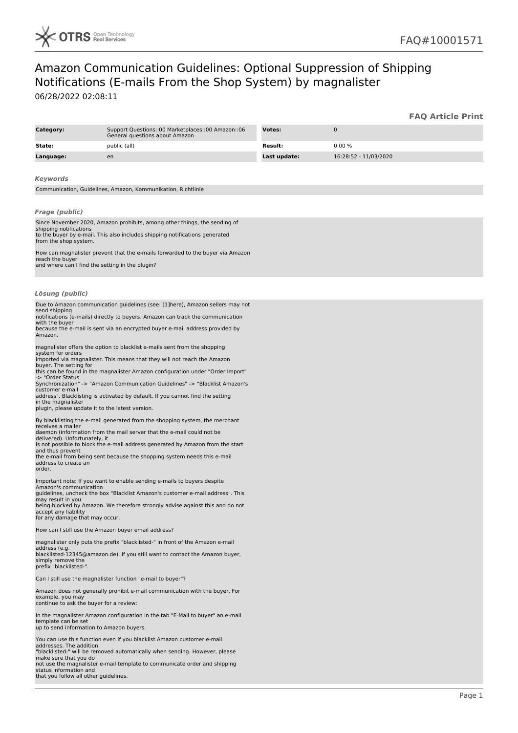

## Amazon Communication Guidelines: Optional Suppression of Shipping Notifications (E-mails From the Shop System) by magnalister

06/28/2022 02:08:11

|                                                                                                                                                                                                                                                                                              |                                                                                                                                                                                                                                                                                                                                                                                                                                                                                                                                                                                                                                                                                                                                                                                                                                                                                                                                                                                                                                                                                                                                                                                                    |                |                       | <b>FAQ Article Print</b> |
|----------------------------------------------------------------------------------------------------------------------------------------------------------------------------------------------------------------------------------------------------------------------------------------------|----------------------------------------------------------------------------------------------------------------------------------------------------------------------------------------------------------------------------------------------------------------------------------------------------------------------------------------------------------------------------------------------------------------------------------------------------------------------------------------------------------------------------------------------------------------------------------------------------------------------------------------------------------------------------------------------------------------------------------------------------------------------------------------------------------------------------------------------------------------------------------------------------------------------------------------------------------------------------------------------------------------------------------------------------------------------------------------------------------------------------------------------------------------------------------------------------|----------------|-----------------------|--------------------------|
| Category:                                                                                                                                                                                                                                                                                    | Support Questions::00 Marketplaces::00 Amazon::06<br>General questions about Amazon                                                                                                                                                                                                                                                                                                                                                                                                                                                                                                                                                                                                                                                                                                                                                                                                                                                                                                                                                                                                                                                                                                                | Votes:         | $\mathbf 0$           |                          |
| State:                                                                                                                                                                                                                                                                                       | public (all)                                                                                                                                                                                                                                                                                                                                                                                                                                                                                                                                                                                                                                                                                                                                                                                                                                                                                                                                                                                                                                                                                                                                                                                       | <b>Result:</b> | 0.00%                 |                          |
| Language:                                                                                                                                                                                                                                                                                    | en                                                                                                                                                                                                                                                                                                                                                                                                                                                                                                                                                                                                                                                                                                                                                                                                                                                                                                                                                                                                                                                                                                                                                                                                 | Last update:   | 16:28:52 - 11/03/2020 |                          |
|                                                                                                                                                                                                                                                                                              |                                                                                                                                                                                                                                                                                                                                                                                                                                                                                                                                                                                                                                                                                                                                                                                                                                                                                                                                                                                                                                                                                                                                                                                                    |                |                       |                          |
| Keywords                                                                                                                                                                                                                                                                                     |                                                                                                                                                                                                                                                                                                                                                                                                                                                                                                                                                                                                                                                                                                                                                                                                                                                                                                                                                                                                                                                                                                                                                                                                    |                |                       |                          |
|                                                                                                                                                                                                                                                                                              | Communication, Guidelines, Amazon, Kommunikation, Richtlinie                                                                                                                                                                                                                                                                                                                                                                                                                                                                                                                                                                                                                                                                                                                                                                                                                                                                                                                                                                                                                                                                                                                                       |                |                       |                          |
| <b>Frage (public)</b><br>shipping notifications<br>from the shop system.<br>reach the buyer                                                                                                                                                                                                  | Since November 2020, Amazon prohibits, among other things, the sending of<br>to the buyer by e-mail. This also includes shipping notifications generated<br>How can magnalister prevent that the e-mails forwarded to the buyer via Amazon<br>and where can I find the setting in the plugin?                                                                                                                                                                                                                                                                                                                                                                                                                                                                                                                                                                                                                                                                                                                                                                                                                                                                                                      |                |                       |                          |
| Lösung (public)                                                                                                                                                                                                                                                                              |                                                                                                                                                                                                                                                                                                                                                                                                                                                                                                                                                                                                                                                                                                                                                                                                                                                                                                                                                                                                                                                                                                                                                                                                    |                |                       |                          |
| send shipping<br>with the buyer<br>Amazon.<br>system for orders<br>buyer. The setting for<br>-> "Order Status<br>customer e-mail<br>in the magnalister<br>receives a mailer<br>delivered). Unfortunately, it<br>and thus prevent<br>address to create an<br>order.<br>Amazon's communication | Due to Amazon communication guidelines (see: [1]here), Amazon sellers may not<br>notifications (e-mails) directly to buyers. Amazon can track the communication<br>because the e-mail is sent via an encrypted buyer e-mail address provided by<br>magnalister offers the option to blacklist e-mails sent from the shopping<br>imported via magnalister. This means that they will not reach the Amazon<br>this can be found in the magnalister Amazon configuration under "Order Import"<br>Synchronization" -> "Amazon Communication Guidelines" -> "Blacklist Amazon's<br>address". Blacklisting is activated by default. If you cannot find the setting<br>plugin, please update it to the latest version.<br>By blacklisting the e-mail generated from the shopping system, the merchant<br>daemon (information from the mail server that the e-mail could not be<br>is not possible to block the e-mail address generated by Amazon from the start<br>the e-mail from being sent because the shopping system needs this e-mail<br>Important note: If you want to enable sending e-mails to buyers despite<br>quidelines, uncheck the box "Blacklist Amazon's customer e-mail address". This |                |                       |                          |
| may result in you<br>accept any liability<br>for any damage that may occur.                                                                                                                                                                                                                  | being blocked by Amazon. We therefore strongly advise against this and do not                                                                                                                                                                                                                                                                                                                                                                                                                                                                                                                                                                                                                                                                                                                                                                                                                                                                                                                                                                                                                                                                                                                      |                |                       |                          |
|                                                                                                                                                                                                                                                                                              | How can I still use the Amazon buyer email address?                                                                                                                                                                                                                                                                                                                                                                                                                                                                                                                                                                                                                                                                                                                                                                                                                                                                                                                                                                                                                                                                                                                                                |                |                       |                          |
| address (e.g.<br>simply remove the<br>prefix "blacklisted-".                                                                                                                                                                                                                                 | magnalister only puts the prefix "blacklisted-" in front of the Amazon e-mail<br>blacklisted-12345@amazon.de). If you still want to contact the Amazon buyer,                                                                                                                                                                                                                                                                                                                                                                                                                                                                                                                                                                                                                                                                                                                                                                                                                                                                                                                                                                                                                                      |                |                       |                          |
|                                                                                                                                                                                                                                                                                              | Can I still use the magnalister function "e-mail to buyer"?                                                                                                                                                                                                                                                                                                                                                                                                                                                                                                                                                                                                                                                                                                                                                                                                                                                                                                                                                                                                                                                                                                                                        |                |                       |                          |
| example, you may<br>continue to ask the buyer for a review:                                                                                                                                                                                                                                  | Amazon does not generally prohibit e-mail communication with the buyer. For                                                                                                                                                                                                                                                                                                                                                                                                                                                                                                                                                                                                                                                                                                                                                                                                                                                                                                                                                                                                                                                                                                                        |                |                       |                          |
| template can be set<br>up to send information to Amazon buyers.                                                                                                                                                                                                                              | In the magnalister Amazon configuration in the tab "E-Mail to buyer" an e-mail                                                                                                                                                                                                                                                                                                                                                                                                                                                                                                                                                                                                                                                                                                                                                                                                                                                                                                                                                                                                                                                                                                                     |                |                       |                          |
| addresses. The addition<br>make sure that you do<br>status information and<br>that you follow all other guidelines.                                                                                                                                                                          | You can use this function even if you blacklist Amazon customer e-mail<br>"blacklisted-" will be removed automatically when sending. However, please<br>not use the magnalister e-mail template to communicate order and shipping                                                                                                                                                                                                                                                                                                                                                                                                                                                                                                                                                                                                                                                                                                                                                                                                                                                                                                                                                                  |                |                       |                          |